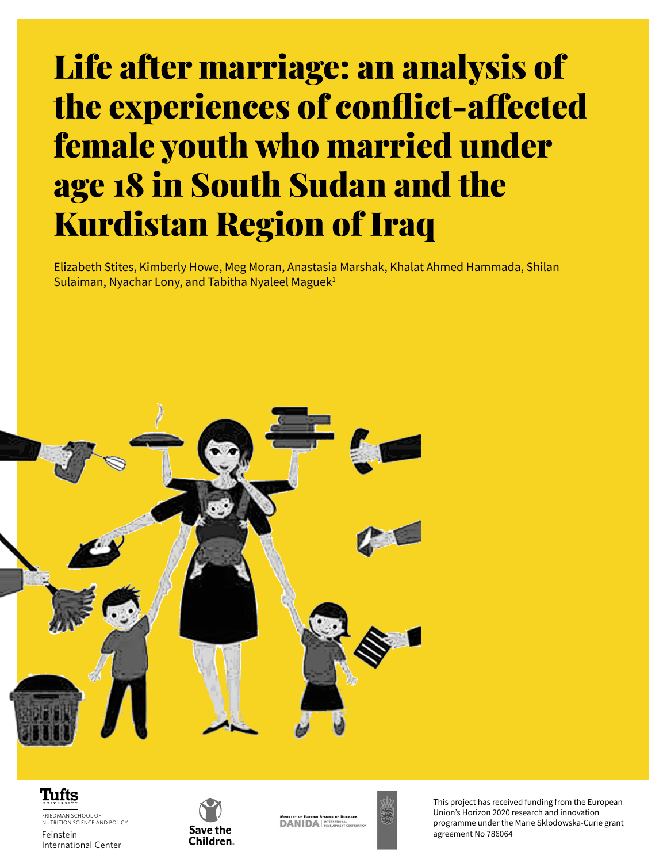# Life after marriage: an analysis of the experiences of conflict-affected female youth who married under age 18 in South Sudan and the Kurdistan Region of Iraq

Elizabeth Stites, Kimberly Howe, Meg Moran, Anastasia Marshak, Khalat Ahmed Hammada, Shilan Sulaiman, Nyachar Lony, and Tabitha Nyaleel Maguek $1$ 





**Life after marriage**:an analysis of the experiences of conflict-affected female youth who married under age 18 in South Sudan and the Kurdistan Region of Iraq **1** FRIEDMAN SCHOOL OF NUTRITION SCIENCE AND POLICY Feinstein International Center



**DANIDA** 

This project has received funding from the European Union's Horizon 2020 research and innovation programme under the Marie Sklodowska-Curie grant agreement No 786064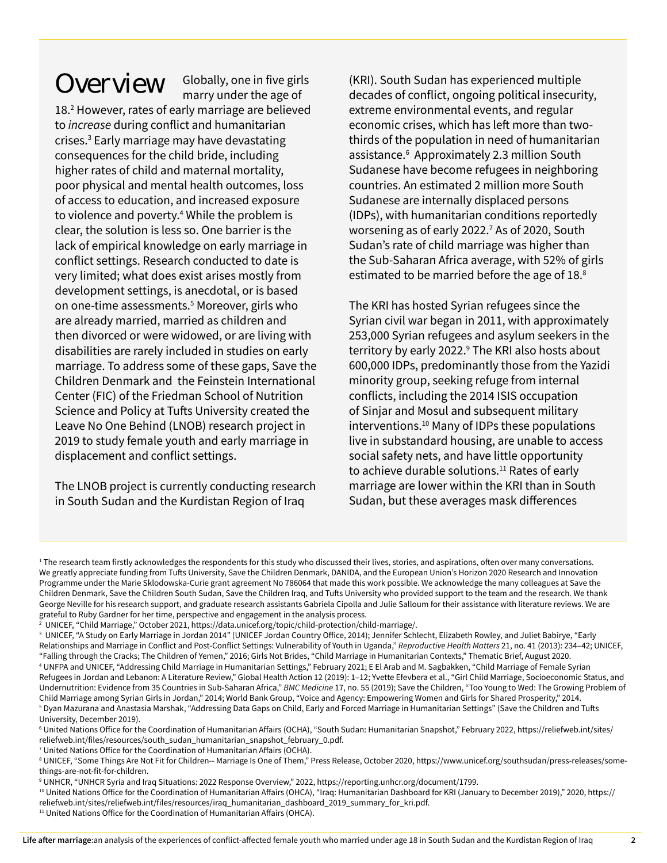Overview Globally, one in five girls marry under the age of

18.2 However, rates of early marriage are believed to *increase* during conflict and humanitarian crises.3 Early marriage may have devastating consequences for the child bride, including higher rates of child and maternal mortality, poor physical and mental health outcomes, loss of access to education, and increased exposure to violence and poverty.<sup>4</sup> While the problem is clear, the solution is less so. One barrier is the lack of empirical knowledge on early marriage in conflict settings. Research conducted to date is very limited; what does exist arises mostly from development settings, is anecdotal, or is based on one-time assessments.5 Moreover, girls who are already married, married as children and then divorced or were widowed, or are living with disabilities are rarely included in studies on early marriage. To address some of these gaps, Save the Children Denmark and the Feinstein International Center (FIC) of the Friedman School of Nutrition Science and Policy at Tufts University created the Leave No One Behind (LNOB) research project in 2019 to study female youth and early marriage in displacement and conflict settings.

The LNOB project is currently conducting research in South Sudan and the Kurdistan Region of Iraq

(KRI). South Sudan has experienced multiple decades of conflict, ongoing political insecurity, extreme environmental events, and regular economic crises, which has left more than twothirds of the population in need of humanitarian assistance.<sup>6</sup> Approximately 2.3 million South Sudanese have become refugees in neighboring countries. An estimated 2 million more South Sudanese are internally displaced persons (IDPs), with humanitarian conditions reportedly worsening as of early 2022.<sup>7</sup> As of 2020, South Sudan's rate of child marriage was higher than the Sub-Saharan Africa average, with 52% of girls estimated to be married before the age of 18.<sup>8</sup>

The KRI has hosted Syrian refugees since the Syrian civil war began in 2011, with approximately 253,000 Syrian refugees and asylum seekers in the territory by early 2022.<sup>9</sup> The KRI also hosts about 600,000 IDPs, predominantly those from the Yazidi minority group, seeking refuge from internal conflicts, including the 2014 ISIS occupation of Sinjar and Mosul and subsequent military interventions.10 Many of IDPs these populations live in substandard housing, are unable to access social safety nets, and have little opportunity to achieve durable solutions.<sup>11</sup> Rates of early marriage are lower within the KRI than in South Sudan, but these averages mask differences

<sup>1</sup> The research team firstly acknowledges the respondents for this study who discussed their lives, stories, and aspirations, often over many conversations. We greatly appreciate funding from Tufts University, Save the Children Denmark, DANIDA, and the European Union's Horizon 2020 Research and Innovation Programme under the Marie Sklodowska-Curie grant agreement No 786064 that made this work possible. We acknowledge the many colleagues at Save the Children Denmark, Save the Children South Sudan, Save the Children Iraq, and Tufts University who provided support to the team and the research. We thank George Neville for his research support, and graduate research assistants Gabriela Cipolla and Julie Salloum for their assistance with literature reviews. We are grateful to Ruby Gardner for her time, perspective and engagement in the analysis process.

<sup>2</sup> UNICEF, "Child Marriage," October 2021, https://data.unicef.org/topic/child-protection/child-marriage/.

<sup>3</sup> UNICEF, "A Study on Early Marriage in Jordan 2014" (UNICEF Jordan Country Office, 2014); Jennifer Schlecht, Elizabeth Rowley, and Juliet Babirye, "Early Relationships and Marriage in Conflict and Post-Conflict Settings: Vulnerability of Youth in Uganda," *Reproductive Health Matters* 21, no. 41 (2013): 234–42; UNICEF, "Falling through the Cracks; The Children of Yemen," 2016; Girls Not Brides, "Child Marriage in Humanitarian Contexts," Thematic Brief, August 2020.

<sup>4</sup> UNFPA and UNICEF, "Addressing Child Marriage in Humanitarian Settings," February 2021; E El Arab and M. Sagbakken, "Child Marriage of Female Syrian Refugees in Jordan and Lebanon: A Literature Review," Global Health Action 12 (2019): 1-12; Yvette Efevbera et al., "Girl Child Marriage, Socioeconomic Status, and Undernutrition: Evidence from 35 Countries in Sub-Saharan Africa," *BMC Medicine* 17, no. 55 (2019); Save the Children, "Too Young to Wed: The Growing Problem of Child Marriage among Syrian Girls in Jordan," 2014; World Bank Group, "Voice and Agency: Empowering Women and Girls for Shared Prosperity," 2014. 5 Dyan Mazurana and Anastasia Marshak, "Addressing Data Gaps on Child, Early and Forced Marriage in Humanitarian Settings" (Save the Children and Tufts University, December 2019).

<sup>6</sup> United Nations Office for the Coordination of Humanitarian Affairs (OCHA), "South Sudan: Humanitarian Snapshot," February 2022, https://reliefweb.int/sites/ reliefweb.int/files/resources/south\_sudan\_humanitarian\_snapshot\_february\_0.pdf.

<sup>7</sup> United Nations Office for the Coordination of Humanitarian Affairs (OCHA).

<sup>8</sup> UNICEF, "Some Things Are Not Fit for Children-- Marriage Is One of Them," Press Release, October 2020, https://www.unicef.org/southsudan/press-releases/somethings-are-not-fit-for-children.

<sup>9</sup> UNHCR, "UNHCR Syria and Iraq Situations: 2022 Response Overview," 2022, https://reporting.unhcr.org/document/1799.

<sup>10</sup> United Nations Office for the Coordination of Humanitarian Affairs (OHCA), "Iraq: Humanitarian Dashboard for KRI (January to December 2019)," 2020, [https://](https://reliefweb.int/sites/reliefweb.int/files/resources/iraq_humanitarian_dashboard_2019_summary_for_kri.pdf.) [reliefweb.int/sites/reliefweb.int/files/resources/iraq\\_humanitarian\\_dashboard\\_2019\\_summary\\_for\\_kri.pdf.](https://reliefweb.int/sites/reliefweb.int/files/resources/iraq_humanitarian_dashboard_2019_summary_for_kri.pdf.)

<sup>&</sup>lt;sup>11</sup> United Nations Office for the Coordination of Humanitarian Affairs (OHCA).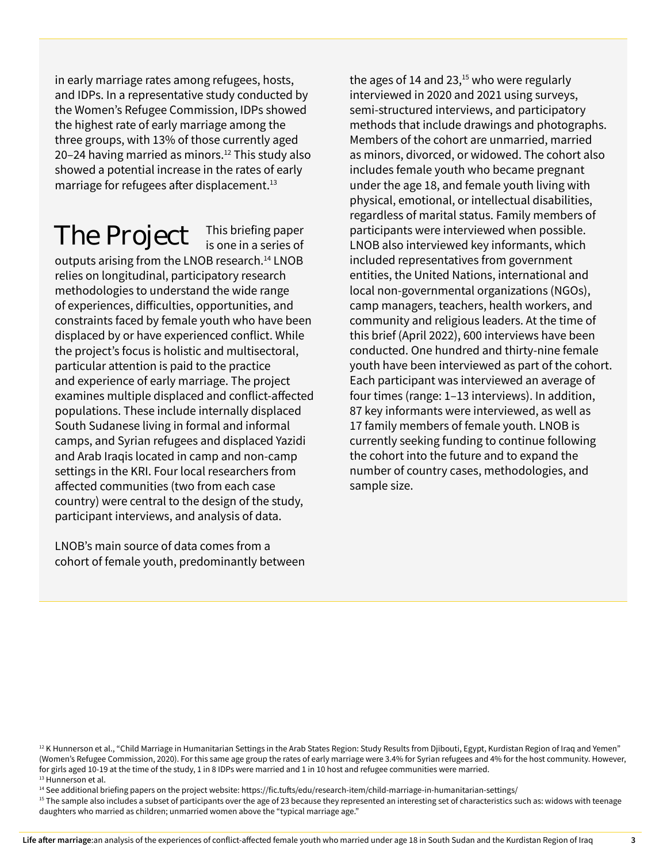in early marriage rates among refugees, hosts, and IDPs. In a representative study conducted by the Women's Refugee Commission, IDPs showed the highest rate of early marriage among the three groups, with 13% of those currently aged 20–24 having married as minors.<sup>12</sup> This study also showed a potential increase in the rates of early marriage for refugees after displacement.<sup>13</sup>

### The Project

This briefing paper<br>is one in a series of

outputs arising from the LNOB research.14 LNOB relies on longitudinal, participatory research methodologies to understand the wide range of experiences, difficulties, opportunities, and constraints faced by female youth who have been displaced by or have experienced conflict. While the project's focus is holistic and multisectoral, particular attention is paid to the practice and experience of early marriage. The project examines multiple displaced and conflict-affected populations. These include internally displaced South Sudanese living in formal and informal camps, and Syrian refugees and displaced Yazidi and Arab Iraqis located in camp and non-camp settings in the KRI. Four local researchers from affected communities (two from each case country) were central to the design of the study, participant interviews, and analysis of data.

LNOB's main source of data comes from a cohort of female youth, predominantly between the ages of 14 and 23, $15$  who were regularly interviewed in 2020 and 2021 using surveys, semi-structured interviews, and participatory methods that include drawings and photographs. Members of the cohort are unmarried, married as minors, divorced, or widowed. The cohort also includes female youth who became pregnant under the age 18, and female youth living with physical, emotional, or intellectual disabilities, regardless of marital status. Family members of participants were interviewed when possible. LNOB also interviewed key informants, which included representatives from government entities, the United Nations, international and local non-governmental organizations (NGOs), camp managers, teachers, health workers, and community and religious leaders. At the time of this brief (April 2022), 600 interviews have been conducted. One hundred and thirty-nine female youth have been interviewed as part of the cohort. Each participant was interviewed an average of four times (range: 1–13 interviews). In addition, 87 key informants were interviewed, as well as 17 family members of female youth. LNOB is currently seeking funding to continue following the cohort into the future and to expand the number of country cases, methodologies, and sample size.

<sup>14</sup> See additional briefing papers on the project website: https://fic.tufts/edu/research-item/child-marriage-in-humanitarian-settings/

<sup>15</sup> The sample also includes a subset of participants over the age of 23 because they represented an interesting set of characteristics such as: widows with teenage daughters who married as children; unmarried women above the "typical marriage age."

<sup>&</sup>lt;sup>12</sup> K Hunnerson et al., "Child Marriage in Humanitarian Settings in the Arab States Region: Study Results from Djibouti, Egypt, Kurdistan Region of Iraq and Yemen" (Women's Refugee Commission, 2020). For this same age group the rates of early marriage were 3.4% for Syrian refugees and 4% for the host community. However, for girls aged 10-19 at the time of the study, 1 in 8 IDPs were married and 1 in 10 host and refugee communities were married. <sup>13</sup> Hunnerson et al.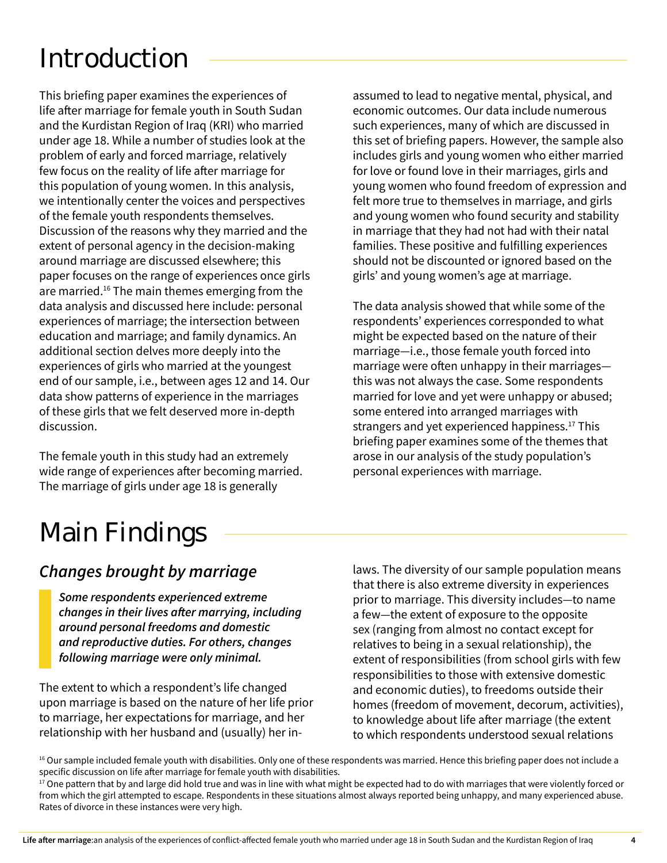## Introduction

This briefing paper examines the experiences of life after marriage for female youth in South Sudan and the Kurdistan Region of Iraq (KRI) who married under age 18. While a number of studies look at the problem of early and forced marriage, relatively few focus on the reality of life after marriage for this population of young women. In this analysis, we intentionally center the voices and perspectives of the female youth respondents themselves. Discussion of the reasons why they married and the extent of personal agency in the decision-making around marriage are discussed elsewhere; this paper focuses on the range of experiences once girls are married.16 The main themes emerging from the data analysis and discussed here include: personal experiences of marriage; the intersection between education and marriage; and family dynamics. An additional section delves more deeply into the experiences of girls who married at the youngest end of our sample, i.e., between ages 12 and 14. Our data show patterns of experience in the marriages of these girls that we felt deserved more in-depth discussion.

The female youth in this study had an extremely wide range of experiences after becoming married. The marriage of girls under age 18 is generally

assumed to lead to negative mental, physical, and economic outcomes. Our data include numerous such experiences, many of which are discussed in this set of briefing papers. However, the sample also includes girls and young women who either married for love or found love in their marriages, girls and young women who found freedom of expression and felt more true to themselves in marriage, and girls and young women who found security and stability in marriage that they had not had with their natal families. These positive and fulfilling experiences should not be discounted or ignored based on the girls' and young women's age at marriage.

The data analysis showed that while some of the respondents' experiences corresponded to what might be expected based on the nature of their marriage—i.e., those female youth forced into marriage were often unhappy in their marriages this was not always the case. Some respondents married for love and yet were unhappy or abused; some entered into arranged marriages with strangers and yet experienced happiness.<sup>17</sup> This briefing paper examines some of the themes that arose in our analysis of the study population's personal experiences with marriage.

### Main Findings

#### *Changes brought by marriage*

*Some respondents experienced extreme changes in their lives after marrying, including around personal freedoms and domestic and reproductive duties. For others, changes following marriage were only minimal.* 

The extent to which a respondent's life changed upon marriage is based on the nature of her life prior to marriage, her expectations for marriage, and her relationship with her husband and (usually) her inlaws. The diversity of our sample population means that there is also extreme diversity in experiences prior to marriage. This diversity includes—to name a few—the extent of exposure to the opposite sex (ranging from almost no contact except for relatives to being in a sexual relationship), the extent of responsibilities (from school girls with few responsibilities to those with extensive domestic and economic duties), to freedoms outside their homes (freedom of movement, decorum, activities), to knowledge about life after marriage (the extent to which respondents understood sexual relations

<sup>&</sup>lt;sup>16</sup> Our sample included female youth with disabilities. Only one of these respondents was married. Hence this briefing paper does not include a specific discussion on life after marriage for female youth with disabilities.

 $17$  One pattern that by and large did hold true and was in line with what might be expected had to do with marriages that were violently forced or from which the girl attempted to escape. Respondents in these situations almost always reported being unhappy, and many experienced abuse. Rates of divorce in these instances were very high.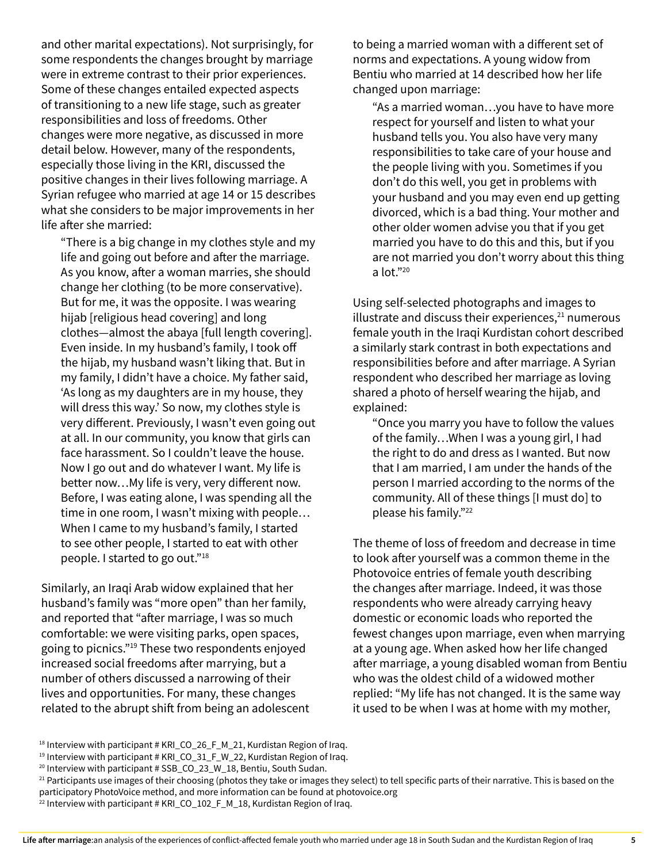and other marital expectations). Not surprisingly, for some respondents the changes brought by marriage were in extreme contrast to their prior experiences. Some of these changes entailed expected aspects of transitioning to a new life stage, such as greater responsibilities and loss of freedoms. Other changes were more negative, as discussed in more detail below. However, many of the respondents, especially those living in the KRI, discussed the positive changes in their lives following marriage. A Syrian refugee who married at age 14 or 15 describes what she considers to be major improvements in her life after she married:

"There is a big change in my clothes style and my life and going out before and after the marriage. As you know, after a woman marries, she should change her clothing (to be more conservative). But for me, it was the opposite. I was wearing hijab [religious head covering] and long clothes—almost the abaya [full length covering]. Even inside. In my husband's family, I took off the hijab, my husband wasn't liking that. But in my family, I didn't have a choice. My father said, 'As long as my daughters are in my house, they will dress this way.' So now, my clothes style is very different. Previously, I wasn't even going out at all. In our community, you know that girls can face harassment. So I couldn't leave the house. Now I go out and do whatever I want. My life is better now…My life is very, very different now. Before, I was eating alone, I was spending all the time in one room, I wasn't mixing with people… When I came to my husband's family, I started to see other people, I started to eat with other people. I started to go out."<sup>18</sup>

Similarly, an Iraqi Arab widow explained that her husband's family was "more open" than her family, and reported that "after marriage, I was so much comfortable: we were visiting parks, open spaces, going to picnics."<sup>19</sup> These two respondents enjoyed increased social freedoms after marrying, but a number of others discussed a narrowing of their lives and opportunities. For many, these changes related to the abrupt shift from being an adolescent to being a married woman with a different set of norms and expectations. A young widow from Bentiu who married at 14 described how her life changed upon marriage:

"As a married woman…you have to have more respect for yourself and listen to what your husband tells you. You also have very many responsibilities to take care of your house and the people living with you. Sometimes if you don't do this well, you get in problems with your husband and you may even end up getting divorced, which is a bad thing. Your mother and other older women advise you that if you get married you have to do this and this, but if you are not married you don't worry about this thing a lot."20

Using self-selected photographs and images to illustrate and discuss their experiences, $21$  numerous female youth in the Iraqi Kurdistan cohort described a similarly stark contrast in both expectations and responsibilities before and after marriage. A Syrian respondent who described her marriage as loving shared a photo of herself wearing the hijab, and explained:

"Once you marry you have to follow the values of the family…When I was a young girl, I had the right to do and dress as I wanted. But now that I am married, I am under the hands of the person I married according to the norms of the community. All of these things [I must do] to please his family."22

The theme of loss of freedom and decrease in time to look after yourself was a common theme in the Photovoice entries of female youth describing the changes after marriage. Indeed, it was those respondents who were already carrying heavy domestic or economic loads who reported the fewest changes upon marriage, even when marrying at a young age. When asked how her life changed after marriage, a young disabled woman from Bentiu who was the oldest child of a widowed mother replied: "My life has not changed. It is the same way it used to be when I was at home with my mother,

<sup>&</sup>lt;sup>18</sup> Interview with participant # KRI\_CO\_26\_F\_M\_21, Kurdistan Region of Iraq.

 $19$  Interview with participant # KRI\_CO\_31\_F\_W\_22, Kurdistan Region of Iraq.

<sup>&</sup>lt;sup>20</sup> Interview with participant # SSB\_CO\_23\_W\_18, Bentiu, South Sudan.

<sup>&</sup>lt;sup>21</sup> Participants use images of their choosing (photos they take or images they select) to tell specific parts of their narrative. This is based on the participatory PhotoVoice method, and more information can be found at photovoice.org

<sup>&</sup>lt;sup>22</sup> Interview with participant # KRI\_CO\_102\_F\_M\_18, Kurdistan Region of Iraq.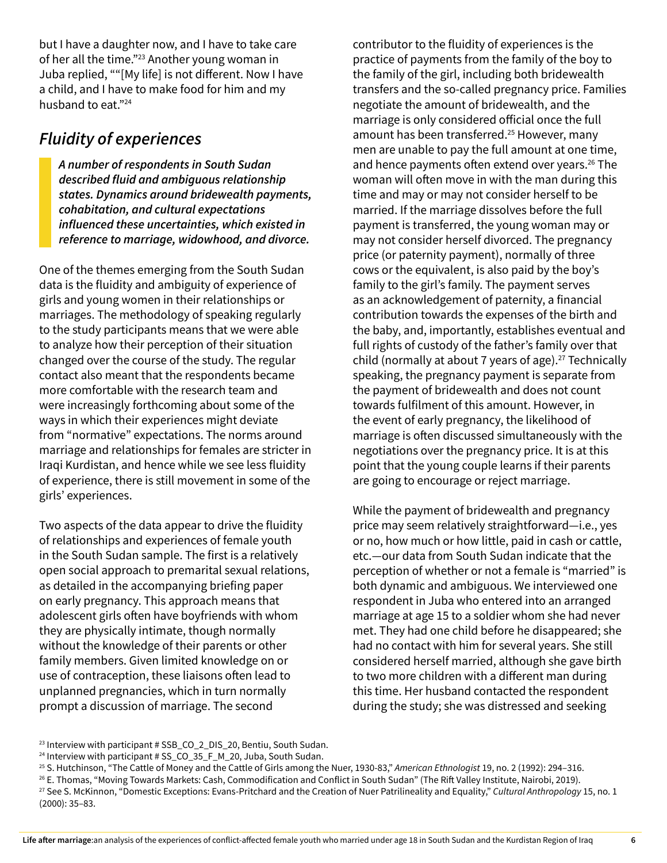but I have a daughter now, and I have to take care of her all the time."23 Another young woman in Juba replied, ""[My life] is not different. Now I have a child, and I have to make food for him and my husband to eat."24

#### *Fluidity of experiences*

*A number of respondents in South Sudan described fluid and ambiguous relationship states. Dynamics around bridewealth payments, cohabitation, and cultural expectations influenced these uncertainties, which existed in reference to marriage, widowhood, and divorce.* 

One of the themes emerging from the South Sudan data is the fluidity and ambiguity of experience of girls and young women in their relationships or marriages. The methodology of speaking regularly to the study participants means that we were able to analyze how their perception of their situation changed over the course of the study. The regular contact also meant that the respondents became more comfortable with the research team and were increasingly forthcoming about some of the ways in which their experiences might deviate from "normative" expectations. The norms around marriage and relationships for females are stricter in Iraqi Kurdistan, and hence while we see less fluidity of experience, there is still movement in some of the girls' experiences.

Two aspects of the data appear to drive the fluidity of relationships and experiences of female youth in the South Sudan sample. The first is a relatively open social approach to premarital sexual relations, as detailed in the accompanying briefing paper on early pregnancy. This approach means that adolescent girls often have boyfriends with whom they are physically intimate, though normally without the knowledge of their parents or other family members. Given limited knowledge on or use of contraception, these liaisons often lead to unplanned pregnancies, which in turn normally prompt a discussion of marriage. The second

contributor to the fluidity of experiences is the practice of payments from the family of the boy to the family of the girl, including both bridewealth transfers and the so-called pregnancy price. Families negotiate the amount of bridewealth, and the marriage is only considered official once the full amount has been transferred.<sup>25</sup> However, many men are unable to pay the full amount at one time, and hence payments often extend over years.<sup>26</sup> The woman will often move in with the man during this time and may or may not consider herself to be married. If the marriage dissolves before the full payment is transferred, the young woman may or may not consider herself divorced. The pregnancy price (or paternity payment), normally of three cows or the equivalent, is also paid by the boy's family to the girl's family. The payment serves as an acknowledgement of paternity, a financial contribution towards the expenses of the birth and the baby, and, importantly, establishes eventual and full rights of custody of the father's family over that child (normally at about 7 years of age).<sup>27</sup> Technically speaking, the pregnancy payment is separate from the payment of bridewealth and does not count towards fulfilment of this amount. However, in the event of early pregnancy, the likelihood of marriage is often discussed simultaneously with the negotiations over the pregnancy price. It is at this point that the young couple learns if their parents are going to encourage or reject marriage.

While the payment of bridewealth and pregnancy price may seem relatively straightforward—i.e., yes or no, how much or how little, paid in cash or cattle, etc.—our data from South Sudan indicate that the perception of whether or not a female is "married" is both dynamic and ambiguous. We interviewed one respondent in Juba who entered into an arranged marriage at age 15 to a soldier whom she had never met. They had one child before he disappeared; she had no contact with him for several years. She still considered herself married, although she gave birth to two more children with a different man during this time. Her husband contacted the respondent during the study; she was distressed and seeking

<sup>&</sup>lt;sup>23</sup> Interview with participant # SSB\_CO\_2\_DIS\_20, Bentiu, South Sudan.

<sup>&</sup>lt;sup>24</sup> Interview with participant # SS\_CO\_35\_F\_M\_20, Juba, South Sudan.

<sup>25</sup> S. Hutchinson, "The Cattle of Money and the Cattle of Girls among the Nuer, 1930-83," *American Ethnologist* 19, no. 2 (1992): 294–316.

<sup>26</sup> E. Thomas, "Moving Towards Markets: Cash, Commodification and Conflict in South Sudan" (The Rift Valley Institute, Nairobi, 2019).

<sup>27</sup> See S. McKinnon, "Domestic Exceptions: Evans-Pritchard and the Creation of Nuer Patrilineality and Equality," *Cultural Anthropology* 15, no. 1 (2000): 35–83.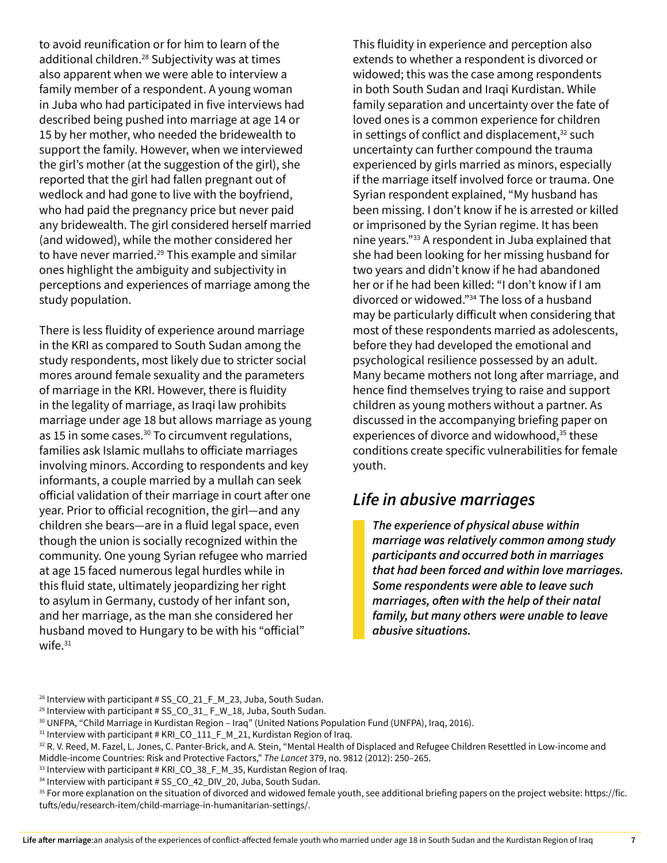to avoid reunification or for him to learn of the additional children.<sup>28</sup> Subjectivity was at times also apparent when we were able to interview a family member of a respondent. A young woman in Juba who had participated in five interviews had described being pushed into marriage at age 14 or 15 by her mother, who needed the bridewealth to support the family. However, when we interviewed the girl's mother (at the suggestion of the girl), she reported that the girl had fallen pregnant out of wedlock and had gone to live with the boyfriend, who had paid the pregnancy price but never paid any bridewealth. The girl considered herself married (and widowed), while the mother considered her to have never married.<sup>29</sup> This example and similar ones highlight the ambiguity and subjectivity in perceptions and experiences of marriage among the study population.

There is less fluidity of experience around marriage in the KRI as compared to South Sudan among the study respondents, most likely due to stricter social mores around female sexuality and the parameters of marriage in the KRI. However, there is fluidity in the legality of marriage, as Iraqi law prohibits marriage under age 18 but allows marriage as young as 15 in some cases. $30$  To circumvent regulations, families ask Islamic mullahs to officiate marriages involving minors. According to respondents and key informants, a couple married by a mullah can seek official validation of their marriage in court after one year. Prior to official recognition, the girl—and any children she bears—are in a fluid legal space, even though the union is socially recognized within the community. One young Syrian refugee who married at age 15 faced numerous legal hurdles while in this fluid state, ultimately jeopardizing her right to asylum in Germany, custody of her infant son, and her marriage, as the man she considered her husband moved to Hungary to be with his "official" wife.<sup>31</sup>

This fluidity in experience and perception also extends to whether a respondent is divorced or widowed; this was the case among respondents in both South Sudan and Iraqi Kurdistan. While family separation and uncertainty over the fate of loved ones is a common experience for children in settings of conflict and displacement, $32$  such uncertainty can further compound the trauma experienced by girls married as minors, especially if the marriage itself involved force or trauma. One Syrian respondent explained, "My husband has been missing. I don't know if he is arrested or killed or imprisoned by the Syrian regime. It has been nine years."33 A respondent in Juba explained that she had been looking for her missing husband for two years and didn't know if he had abandoned her or if he had been killed: "I don't know if I am divorced or widowed."34 The loss of a husband may be particularly difficult when considering that most of these respondents married as adolescents, before they had developed the emotional and psychological resilience possessed by an adult. Many became mothers not long after marriage, and hence find themselves trying to raise and support children as young mothers without a partner. As discussed in the accompanying briefing paper on experiences of divorce and widowhood,<sup>35</sup> these conditions create specific vulnerabilities for female youth.

#### *Life in abusive marriages*

*The experience of physical abuse within marriage was relatively common among study participants and occurred both in marriages that had been forced and within love marriages. Some respondents were able to leave such marriages, often with the help of their natal family, but many others were unable to leave abusive situations.* 

<sup>&</sup>lt;sup>28</sup> Interview with participant # SS\_CO\_21\_F\_M\_23, Juba, South Sudan.

<sup>&</sup>lt;sup>29</sup> Interview with participant # SS\_CO\_31\_ F\_W\_18, Juba, South Sudan.

<sup>30</sup> UNFPA, "Child Marriage in Kurdistan Region – Iraq" (United Nations Population Fund (UNFPA), Iraq, 2016).

<sup>&</sup>lt;sup>31</sup> Interview with participant # KRI\_CO\_111\_F\_M\_21, Kurdistan Region of Iraq.

<sup>32</sup> R. V. Reed, M. Fazel, L. Jones, C. Panter-Brick, and A. Stein, "Mental Health of Displaced and Refugee Children Resettled in Low-income and Middle-income Countries: Risk and Protective Factors," *The Lancet* 379, no. 9812 (2012): 250–265.

<sup>33</sup> Interview with participant # KRI\_CO\_38\_F\_M\_35, Kurdistan Region of Iraq.

<sup>&</sup>lt;sup>34</sup> Interview with participant # SS\_CO\_42\_DIV\_20, Juba, South Sudan.

<sup>&</sup>lt;sup>35</sup> For more explanation on the situation of divorced and widowed female youth, see additional briefing papers on the project website: https://fic. tufts/edu/research-item/child-marriage-in-humanitarian-settings/.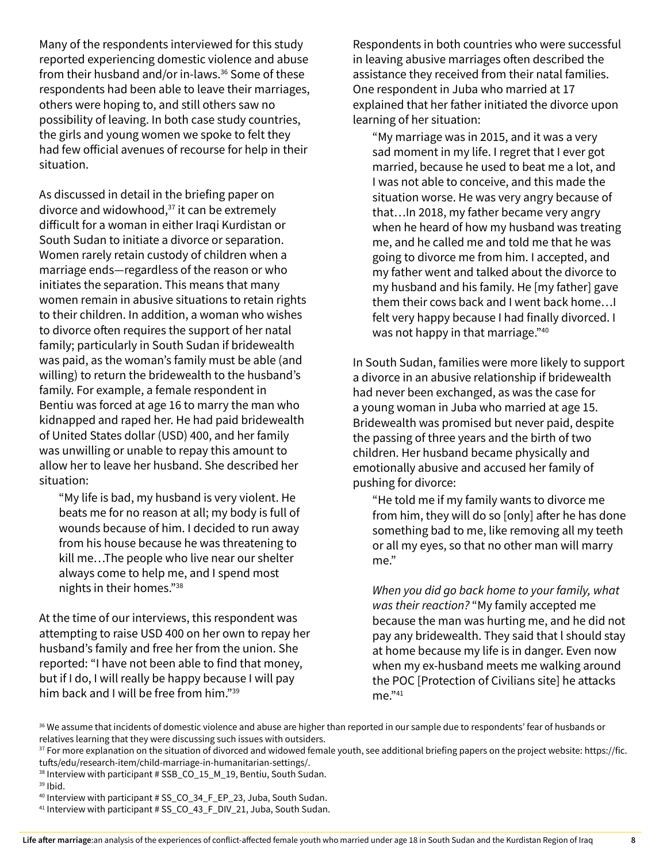Many of the respondents interviewed for this study reported experiencing domestic violence and abuse from their husband and/or in-laws.<sup>36</sup> Some of these respondents had been able to leave their marriages, others were hoping to, and still others saw no possibility of leaving. In both case study countries, the girls and young women we spoke to felt they had few official avenues of recourse for help in their situation.

As discussed in detail in the briefing paper on divorce and widowhood, $37$  it can be extremely difficult for a woman in either Iraqi Kurdistan or South Sudan to initiate a divorce or separation. Women rarely retain custody of children when a marriage ends—regardless of the reason or who initiates the separation. This means that many women remain in abusive situations to retain rights to their children. In addition, a woman who wishes to divorce often requires the support of her natal family; particularly in South Sudan if bridewealth was paid, as the woman's family must be able (and willing) to return the bridewealth to the husband's family. For example, a female respondent in Bentiu was forced at age 16 to marry the man who kidnapped and raped her. He had paid bridewealth of United States dollar (USD) 400, and her family was unwilling or unable to repay this amount to allow her to leave her husband. She described her situation:

"My life is bad, my husband is very violent. He beats me for no reason at all; my body is full of wounds because of him. I decided to run away from his house because he was threatening to kill me…The people who live near our shelter always come to help me, and I spend most nights in their homes."38

At the time of our interviews, this respondent was attempting to raise USD 400 on her own to repay her husband's family and free her from the union. She reported: "I have not been able to find that money, but if I do, I will really be happy because I will pay him back and I will be free from him."39

Respondents in both countries who were successful in leaving abusive marriages often described the assistance they received from their natal families. One respondent in Juba who married at 17 explained that her father initiated the divorce upon learning of her situation:

"My marriage was in 2015, and it was a very sad moment in my life. I regret that I ever got married, because he used to beat me a lot, and I was not able to conceive, and this made the situation worse. He was very angry because of that…In 2018, my father became very angry when he heard of how my husband was treating me, and he called me and told me that he was going to divorce me from him. I accepted, and my father went and talked about the divorce to my husband and his family. He [my father] gave them their cows back and I went back home…I felt very happy because I had finally divorced. I was not happy in that marriage."40

In South Sudan, families were more likely to support a divorce in an abusive relationship if bridewealth had never been exchanged, as was the case for a young woman in Juba who married at age 15. Bridewealth was promised but never paid, despite the passing of three years and the birth of two children. Her husband became physically and emotionally abusive and accused her family of pushing for divorce:

"He told me if my family wants to divorce me from him, they will do so [only] after he has done something bad to me, like removing all my teeth or all my eyes, so that no other man will marry me."

*When you did go back home to your family, what was their reaction?* "My family accepted me because the man was hurting me, and he did not pay any bridewealth. They said that l should stay at home because my life is in danger. Even now when my ex-husband meets me walking around the POC [Protection of Civilians site] he attacks me."41

<sup>36</sup> We assume that incidents of domestic violence and abuse are higher than reported in our sample due to respondents' fear of husbands or relatives learning that they were discussing such issues with outsiders.

<sup>&</sup>lt;sup>37</sup> For more explanation on the situation of divorced and widowed female youth, see additional briefing papers on the project website: https://fic. tufts/edu/research-item/child-marriage-in-humanitarian-settings/.

<sup>&</sup>lt;sup>38</sup> Interview with participant # SSB\_CO\_15\_M\_19, Bentiu, South Sudan.

<sup>39</sup> Ibid.

<sup>40</sup> Interview with participant # SS\_CO\_34\_F\_EP\_23, Juba, South Sudan.

<sup>&</sup>lt;sup>41</sup> Interview with participant # SS\_CO\_43\_F\_DIV\_21, Juba, South Sudan.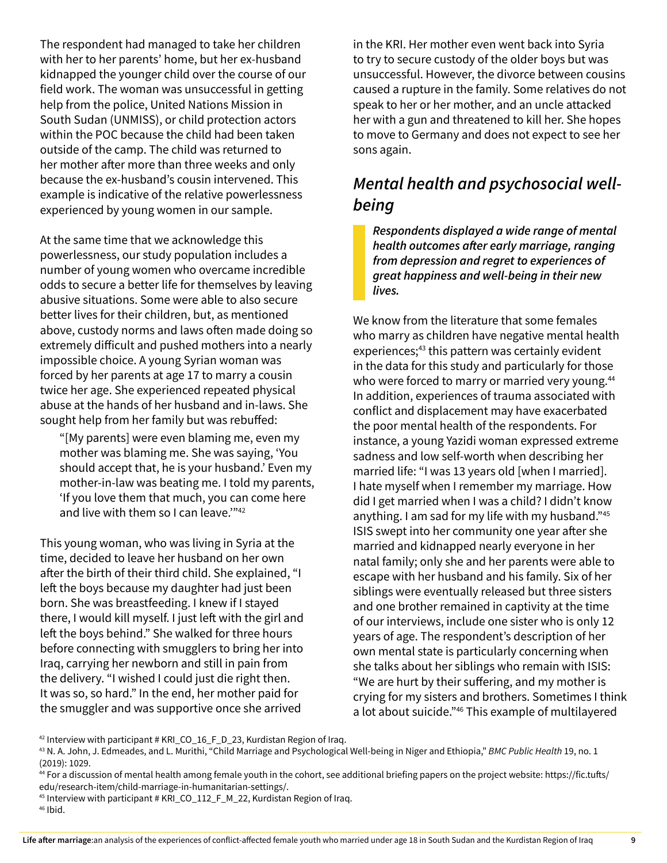The respondent had managed to take her children with her to her parents' home, but her ex-husband kidnapped the younger child over the course of our field work. The woman was unsuccessful in getting help from the police, United Nations Mission in South Sudan (UNMISS), or child protection actors within the POC because the child had been taken outside of the camp. The child was returned to her mother after more than three weeks and only because the ex-husband's cousin intervened. This example is indicative of the relative powerlessness experienced by young women in our sample.

At the same time that we acknowledge this powerlessness, our study population includes a number of young women who overcame incredible odds to secure a better life for themselves by leaving abusive situations. Some were able to also secure better lives for their children, but, as mentioned above, custody norms and laws often made doing so extremely difficult and pushed mothers into a nearly impossible choice. A young Syrian woman was forced by her parents at age 17 to marry a cousin twice her age. She experienced repeated physical abuse at the hands of her husband and in-laws. She sought help from her family but was rebuffed:

"[My parents] were even blaming me, even my mother was blaming me. She was saying, 'You should accept that, he is your husband.' Even my mother-in-law was beating me. I told my parents, 'If you love them that much, you can come here and live with them so I can leave."<sup>42</sup>

This young woman, who was living in Syria at the time, decided to leave her husband on her own after the birth of their third child. She explained, "I left the boys because my daughter had just been born. She was breastfeeding. I knew if I stayed there, I would kill myself. I just left with the girl and left the boys behind." She walked for three hours before connecting with smugglers to bring her into Iraq, carrying her newborn and still in pain from the delivery. "I wished I could just die right then. It was so, so hard." In the end, her mother paid for the smuggler and was supportive once she arrived

in the KRI. Her mother even went back into Syria to try to secure custody of the older boys but was unsuccessful. However, the divorce between cousins caused a rupture in the family. Some relatives do not speak to her or her mother, and an uncle attacked her with a gun and threatened to kill her. She hopes to move to Germany and does not expect to see her sons again.

#### *Mental health and psychosocial wellbeing*

*Respondents displayed a wide range of mental health outcomes after early marriage, ranging from depression and regret to experiences of great happiness and well-being in their new lives.* 

We know from the literature that some females who marry as children have negative mental health experiences;<sup>43</sup> this pattern was certainly evident in the data for this study and particularly for those who were forced to marry or married very young.<sup>44</sup> In addition, experiences of trauma associated with conflict and displacement may have exacerbated the poor mental health of the respondents. For instance, a young Yazidi woman expressed extreme sadness and low self-worth when describing her married life: "I was 13 years old [when I married]. I hate myself when I remember my marriage. How did I get married when I was a child? I didn't know anything. I am sad for my life with my husband."45 ISIS swept into her community one year after she married and kidnapped nearly everyone in her natal family; only she and her parents were able to escape with her husband and his family. Six of her siblings were eventually released but three sisters and one brother remained in captivity at the time of our interviews, include one sister who is only 12 years of age. The respondent's description of her own mental state is particularly concerning when she talks about her siblings who remain with ISIS: "We are hurt by their suffering, and my mother is crying for my sisters and brothers. Sometimes I think a lot about suicide."46 This example of multilayered

 $42$  Interview with participant # KRI\_CO\_16\_F\_D\_23, Kurdistan Region of Iraq.

<sup>43</sup> N. A. John, J. Edmeades, and L. Murithi, "Child Marriage and Psychological Well-being in Niger and Ethiopia," *BMC Public Health* 19, no. 1 (2019): 1029.

<sup>44</sup> For a discussion of mental health among female youth in the cohort, see additional briefing papers on the project website: https://fic.tufts/ edu/research-item/child-marriage-in-humanitarian-settings/.

<sup>45</sup> Interview with participant # KRI\_CO\_112\_F\_M\_22, Kurdistan Region of Iraq.

 $46$  Ibid.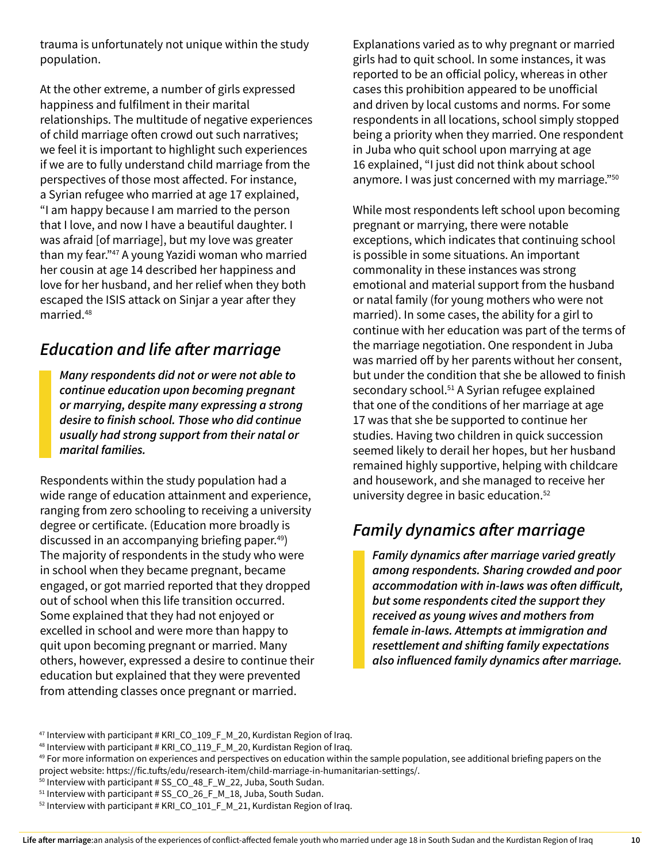trauma is unfortunately not unique within the study population.

At the other extreme, a number of girls expressed happiness and fulfilment in their marital relationships. The multitude of negative experiences of child marriage often crowd out such narratives; we feel it is important to highlight such experiences if we are to fully understand child marriage from the perspectives of those most affected. For instance, a Syrian refugee who married at age 17 explained, "I am happy because I am married to the person that I love, and now I have a beautiful daughter. I was afraid [of marriage], but my love was greater than my fear."47 A young Yazidi woman who married her cousin at age 14 described her happiness and love for her husband, and her relief when they both escaped the ISIS attack on Sinjar a year after they married.48

#### *Education and life after marriage*

*Many respondents did not or were not able to continue education upon becoming pregnant or marrying, despite many expressing a strong desire to finish school. Those who did continue usually had strong support from their natal or marital families.* 

Respondents within the study population had a wide range of education attainment and experience, ranging from zero schooling to receiving a university degree or certificate. (Education more broadly is discussed in an accompanying briefing paper.49) The majority of respondents in the study who were in school when they became pregnant, became engaged, or got married reported that they dropped out of school when this life transition occurred. Some explained that they had not enjoyed or excelled in school and were more than happy to quit upon becoming pregnant or married. Many others, however, expressed a desire to continue their education but explained that they were prevented from attending classes once pregnant or married.

Explanations varied as to why pregnant or married girls had to quit school. In some instances, it was reported to be an official policy, whereas in other cases this prohibition appeared to be unofficial and driven by local customs and norms. For some respondents in all locations, school simply stopped being a priority when they married. One respondent in Juba who quit school upon marrying at age 16 explained, "I just did not think about school anymore. I was just concerned with my marriage."50

While most respondents left school upon becoming pregnant or marrying, there were notable exceptions, which indicates that continuing school is possible in some situations. An important commonality in these instances was strong emotional and material support from the husband or natal family (for young mothers who were not married). In some cases, the ability for a girl to continue with her education was part of the terms of the marriage negotiation. One respondent in Juba was married off by her parents without her consent, but under the condition that she be allowed to finish secondary school.<sup>51</sup> A Syrian refugee explained that one of the conditions of her marriage at age 17 was that she be supported to continue her studies. Having two children in quick succession seemed likely to derail her hopes, but her husband remained highly supportive, helping with childcare and housework, and she managed to receive her university degree in basic education.52

#### *Family dynamics after marriage*

*Family dynamics after marriage varied greatly among respondents. Sharing crowded and poor accommodation with in-laws was often difficult, but some respondents cited the support they received as young wives and mothers from female in-laws. Attempts at immigration and resettlement and shifting family expectations also influenced family dynamics after marriage.* 

<sup>&</sup>lt;sup>47</sup> Interview with participant # KRI\_CO\_109\_F\_M\_20, Kurdistan Region of Iraq.

<sup>48</sup> Interview with participant # KRI\_CO\_119\_F\_M\_20, Kurdistan Region of Iraq.

<sup>&</sup>lt;sup>49</sup> For more information on experiences and perspectives on education within the sample population, see additional briefing papers on the project website: https://fic.tufts/edu/research-item/child-marriage-in-humanitarian-settings/.

<sup>&</sup>lt;sup>50</sup> Interview with participant # SS\_CO\_48\_F\_W\_22, Juba, South Sudan.

<sup>&</sup>lt;sup>51</sup> Interview with participant # SS\_CO\_26\_F\_M\_18, Juba, South Sudan.

<sup>&</sup>lt;sup>52</sup> Interview with participant # KRI\_CO\_101\_F\_M\_21, Kurdistan Region of Iraq.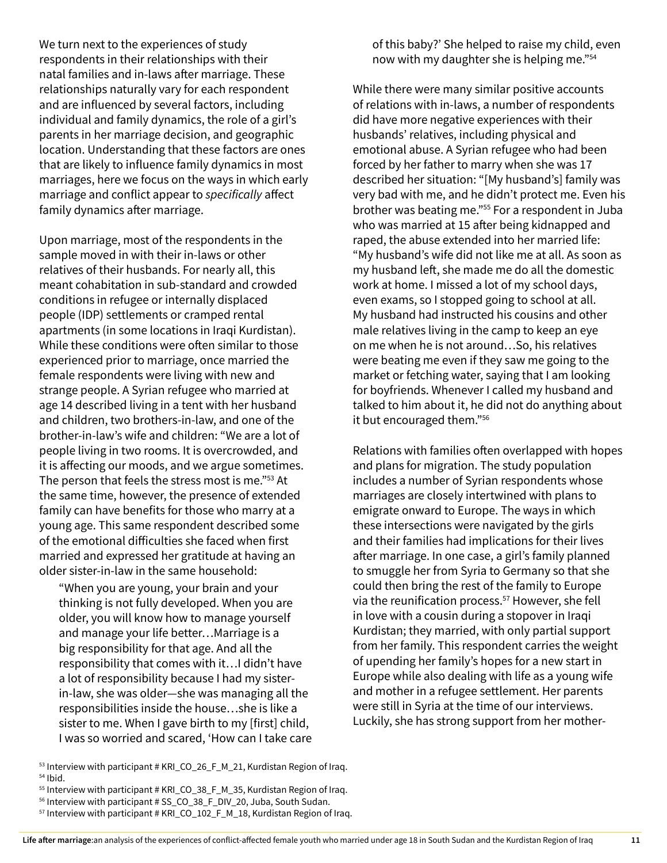We turn next to the experiences of study respondents in their relationships with their natal families and in-laws after marriage. These relationships naturally vary for each respondent and are influenced by several factors, including individual and family dynamics, the role of a girl's parents in her marriage decision, and geographic location. Understanding that these factors are ones that are likely to influence family dynamics in most marriages, here we focus on the ways in which early marriage and conflict appear to *specifically* affect family dynamics after marriage.

Upon marriage, most of the respondents in the sample moved in with their in-laws or other relatives of their husbands. For nearly all, this meant cohabitation in sub-standard and crowded conditions in refugee or internally displaced people (IDP) settlements or cramped rental apartments (in some locations in Iraqi Kurdistan). While these conditions were often similar to those experienced prior to marriage, once married the female respondents were living with new and strange people. A Syrian refugee who married at age 14 described living in a tent with her husband and children, two brothers-in-law, and one of the brother-in-law's wife and children: "We are a lot of people living in two rooms. It is overcrowded, and it is affecting our moods, and we argue sometimes. The person that feels the stress most is me."53 At the same time, however, the presence of extended family can have benefits for those who marry at a young age. This same respondent described some of the emotional difficulties she faced when first married and expressed her gratitude at having an older sister-in-law in the same household:

"When you are young, your brain and your thinking is not fully developed. When you are older, you will know how to manage yourself and manage your life better…Marriage is a big responsibility for that age. And all the responsibility that comes with it…I didn't have a lot of responsibility because I had my sisterin-law, she was older—she was managing all the responsibilities inside the house…she is like a sister to me. When I gave birth to my [first] child, I was so worried and scared, 'How can I take care

53 Interview with participant # KRI\_CO\_26\_F\_M\_21, Kurdistan Region of Iraq.

of this baby?' She helped to raise my child, even now with my daughter she is helping me."54

While there were many similar positive accounts of relations with in-laws, a number of respondents did have more negative experiences with their husbands' relatives, including physical and emotional abuse. A Syrian refugee who had been forced by her father to marry when she was 17 described her situation: "[My husband's] family was very bad with me, and he didn't protect me. Even his brother was beating me."55 For a respondent in Juba who was married at 15 after being kidnapped and raped, the abuse extended into her married life: "My husband's wife did not like me at all. As soon as my husband left, she made me do all the domestic work at home. I missed a lot of my school days, even exams, so I stopped going to school at all. My husband had instructed his cousins and other male relatives living in the camp to keep an eye on me when he is not around…So, his relatives were beating me even if they saw me going to the market or fetching water, saying that I am looking for boyfriends. Whenever I called my husband and talked to him about it, he did not do anything about it but encouraged them."<sup>56</sup>

Relations with families often overlapped with hopes and plans for migration. The study population includes a number of Syrian respondents whose marriages are closely intertwined with plans to emigrate onward to Europe. The ways in which these intersections were navigated by the girls and their families had implications for their lives after marriage. In one case, a girl's family planned to smuggle her from Syria to Germany so that she could then bring the rest of the family to Europe via the reunification process.<sup>57</sup> However, she fell in love with a cousin during a stopover in Iraqi Kurdistan; they married, with only partial support from her family. This respondent carries the weight of upending her family's hopes for a new start in Europe while also dealing with life as a young wife and mother in a refugee settlement. Her parents were still in Syria at the time of our interviews. Luckily, she has strong support from her mother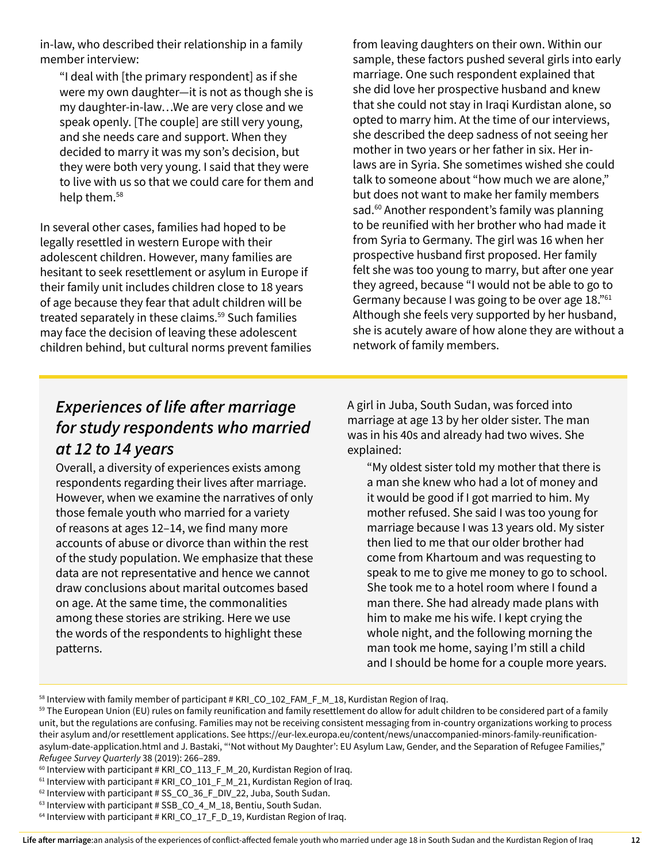in-law, who described their relationship in a family member interview:

"I deal with [the primary respondent] as if she were my own daughter—it is not as though she is my daughter-in-law…We are very close and we speak openly. [The couple] are still very young, and she needs care and support. When they decided to marry it was my son's decision, but they were both very young. I said that they were to live with us so that we could care for them and help them.58

In several other cases, families had hoped to be legally resettled in western Europe with their adolescent children. However, many families are hesitant to seek resettlement or asylum in Europe if their family unit includes children close to 18 years of age because they fear that adult children will be treated separately in these claims.<sup>59</sup> Such families may face the decision of leaving these adolescent children behind, but cultural norms prevent families from leaving daughters on their own. Within our sample, these factors pushed several girls into early marriage. One such respondent explained that she did love her prospective husband and knew that she could not stay in Iraqi Kurdistan alone, so opted to marry him. At the time of our interviews, she described the deep sadness of not seeing her mother in two years or her father in six. Her inlaws are in Syria. She sometimes wished she could talk to someone about "how much we are alone," but does not want to make her family members sad.<sup>60</sup> Another respondent's family was planning to be reunified with her brother who had made it from Syria to Germany. The girl was 16 when her prospective husband first proposed. Her family felt she was too young to marry, but after one year they agreed, because "I would not be able to go to Germany because I was going to be over age 18."<sup>61</sup> Although she feels very supported by her husband, she is acutely aware of how alone they are without a network of family members.

#### *Experiences of life after marriage for study respondents who married at 12 to 14 years*

Overall, a diversity of experiences exists among respondents regarding their lives after marriage. However, when we examine the narratives of only those female youth who married for a variety of reasons at ages 12–14, we find many more accounts of abuse or divorce than within the rest of the study population. We emphasize that these data are not representative and hence we cannot draw conclusions about marital outcomes based on age. At the same time, the commonalities among these stories are striking. Here we use the words of the respondents to highlight these patterns.

A girl in Juba, South Sudan, was forced into marriage at age 13 by her older sister. The man was in his 40s and already had two wives. She explained:

"My oldest sister told my mother that there is a man she knew who had a lot of money and it would be good if I got married to him. My mother refused. She said I was too young for marriage because I was 13 years old. My sister then lied to me that our older brother had come from Khartoum and was requesting to speak to me to give me money to go to school. She took me to a hotel room where I found a man there. She had already made plans with him to make me his wife. I kept crying the whole night, and the following morning the man took me home, saying I'm still a child and I should be home for a couple more years.

<sup>58</sup> Interview with family member of participant # KRI\_CO\_102\_FAM\_F\_M\_18, Kurdistan Region of Iraq.

<sup>&</sup>lt;sup>59</sup> The European Union (EU) rules on family reunification and family resettlement do allow for adult children to be considered part of a family unit, but the regulations are confusing. Families may not be receiving consistent messaging from in-country organizations working to process their asylum and/or resettlement applications. See [https://eur-lex.europa.eu/content/news/unaccompanied-minors-family-reunification](https://eur-lex.europa.eu/content/news/unaccompanied-minors-family-reunification-asylum-date-application.html)[asylum-date-application.html](https://eur-lex.europa.eu/content/news/unaccompanied-minors-family-reunification-asylum-date-application.html) and J. Bastaki, "'Not without My Daughter': EU Asylum Law, Gender, and the Separation of Refugee Families,"

*Refugee Survey Quarterly* 38 (2019): 266–289.<br><sup>60</sup> Interview with participant # KRI\_CO\_113\_F\_M\_20, Kurdistan Region of Iraq.

 $61$  Interview with participant # KRI\_CO\_101\_F\_M\_21, Kurdistan Region of Iraq.

 $62$  Interview with participant # SS\_CO\_36\_F\_DIV\_22, Juba, South Sudan.

 $63$  Interview with participant  $\#$  SSB\_CO\_4\_M\_18, Bentiu, South Sudan.

<sup>&</sup>lt;sup>64</sup> Interview with participant # KRI\_CO\_17\_F\_D\_19, Kurdistan Region of Iraq.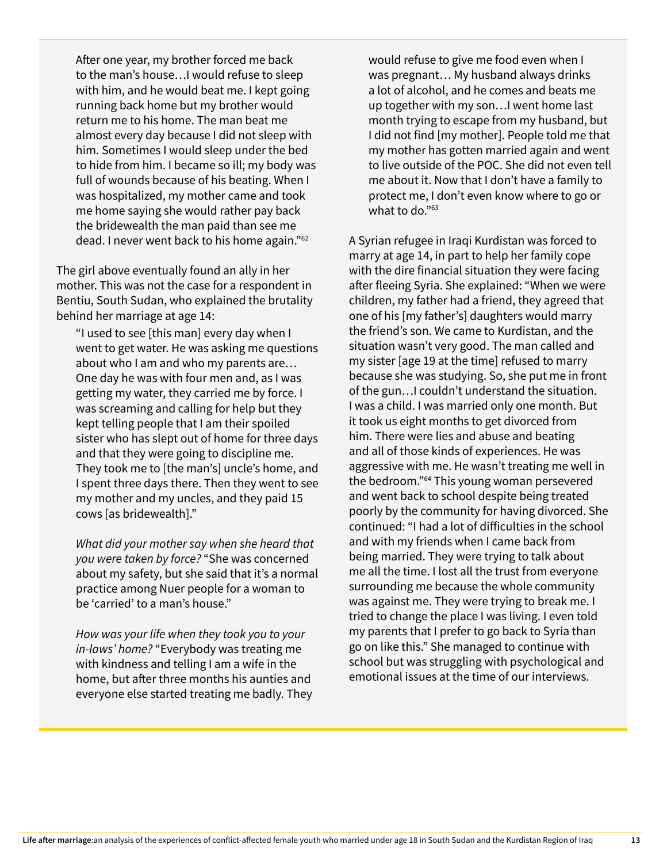After one year, my brother forced me back to the man's house…I would refuse to sleep with him, and he would beat me. I kept going running back home but my brother would return me to his home. The man beat me almost every day because I did not sleep with him. Sometimes I would sleep under the bed to hide from him. I became so ill; my body was full of wounds because of his beating. When I was hospitalized, my mother came and took me home saying she would rather pay back the bridewealth the man paid than see me dead. I never went back to his home again."62

The girl above eventually found an ally in her mother. This was not the case for a respondent in Bentiu, South Sudan, who explained the brutality behind her marriage at age 14:

"I used to see [this man] every day when I went to get water. He was asking me questions about who I am and who my parents are… One day he was with four men and, as I was getting my water, they carried me by force. I was screaming and calling for help but they kept telling people that I am their spoiled sister who has slept out of home for three days and that they were going to discipline me. They took me to [the man's] uncle's home, and I spent three days there. Then they went to see my mother and my uncles, and they paid 15 cows [as bridewealth]."

*What did your mother say when she heard that you were taken by force?* "She was concerned about my safety, but she said that it's a normal practice among Nuer people for a woman to be 'carried' to a man's house."

*How was your life when they took you to your in-laws' home?* "Everybody was treating me with kindness and telling I am a wife in the home, but after three months his aunties and everyone else started treating me badly. They would refuse to give me food even when I was pregnant… My husband always drinks a lot of alcohol, and he comes and beats me up together with my son…I went home last month trying to escape from my husband, but I did not find [my mother]. People told me that my mother has gotten married again and went to live outside of the POC. She did not even tell me about it. Now that I don't have a family to protect me, I don't even know where to go or what to do."<sup>63</sup>

A Syrian refugee in Iraqi Kurdistan was forced to marry at age 14, in part to help her family cope with the dire financial situation they were facing after fleeing Syria. She explained: "When we were children, my father had a friend, they agreed that one of his [my father's] daughters would marry the friend's son. We came to Kurdistan, and the situation wasn't very good. The man called and my sister [age 19 at the time] refused to marry because she was studying. So, she put me in front of the gun…I couldn't understand the situation. I was a child. I was married only one month. But it took us eight months to get divorced from him. There were lies and abuse and beating and all of those kinds of experiences. He was aggressive with me. He wasn't treating me well in the bedroom."64 This young woman persevered and went back to school despite being treated poorly by the community for having divorced. She continued: "I had a lot of difficulties in the school and with my friends when I came back from being married. They were trying to talk about me all the time. I lost all the trust from everyone surrounding me because the whole community was against me. They were trying to break me. I tried to change the place I was living. I even told my parents that I prefer to go back to Syria than go on like this." She managed to continue with school but was struggling with psychological and emotional issues at the time of our interviews.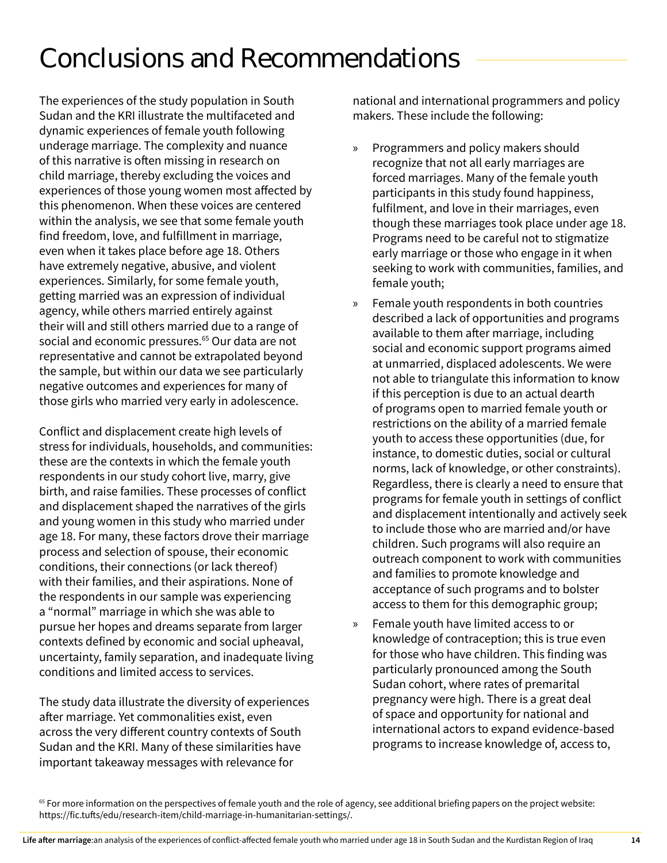### Conclusions and Recommendations

The experiences of the study population in South Sudan and the KRI illustrate the multifaceted and dynamic experiences of female youth following underage marriage. The complexity and nuance of this narrative is often missing in research on child marriage, thereby excluding the voices and experiences of those young women most affected by this phenomenon. When these voices are centered within the analysis, we see that some female youth find freedom, love, and fulfillment in marriage, even when it takes place before age 18. Others have extremely negative, abusive, and violent experiences. Similarly, for some female youth, getting married was an expression of individual agency, while others married entirely against their will and still others married due to a range of social and economic pressures.<sup>65</sup> Our data are not representative and cannot be extrapolated beyond the sample, but within our data we see particularly negative outcomes and experiences for many of those girls who married very early in adolescence.

Conflict and displacement create high levels of stress for individuals, households, and communities: these are the contexts in which the female youth respondents in our study cohort live, marry, give birth, and raise families. These processes of conflict and displacement shaped the narratives of the girls and young women in this study who married under age 18. For many, these factors drove their marriage process and selection of spouse, their economic conditions, their connections (or lack thereof) with their families, and their aspirations. None of the respondents in our sample was experiencing a "normal" marriage in which she was able to pursue her hopes and dreams separate from larger contexts defined by economic and social upheaval, uncertainty, family separation, and inadequate living conditions and limited access to services.

The study data illustrate the diversity of experiences after marriage. Yet commonalities exist, even across the very different country contexts of South Sudan and the KRI. Many of these similarities have important takeaway messages with relevance for

national and international programmers and policy makers. These include the following:

- » Programmers and policy makers should recognize that not all early marriages are forced marriages. Many of the female youth participants in this study found happiness, fulfilment, and love in their marriages, even though these marriages took place under age 18. Programs need to be careful not to stigmatize early marriage or those who engage in it when seeking to work with communities, families, and female youth;
- » Female youth respondents in both countries described a lack of opportunities and programs available to them after marriage, including social and economic support programs aimed at unmarried, displaced adolescents. We were not able to triangulate this information to know if this perception is due to an actual dearth of programs open to married female youth or restrictions on the ability of a married female youth to access these opportunities (due, for instance, to domestic duties, social or cultural norms, lack of knowledge, or other constraints). Regardless, there is clearly a need to ensure that programs for female youth in settings of conflict and displacement intentionally and actively seek to include those who are married and/or have children. Such programs will also require an outreach component to work with communities and families to promote knowledge and acceptance of such programs and to bolster access to them for this demographic group;
- » Female youth have limited access to or knowledge of contraception; this is true even for those who have children. This finding was particularly pronounced among the South Sudan cohort, where rates of premarital pregnancy were high. There is a great deal of space and opportunity for national and international actors to expand evidence-based programs to increase knowledge of, access to,

<sup>&</sup>lt;sup>65</sup> For more information on the perspectives of female youth and the role of agency, see additional briefing papers on the project website: [https://fic.tufts/edu/research-item/child-marriage-in-humanitarian-settings/.](https://fic.tufts/edu/research-item/child-marriage-in-humanitarian-settings/)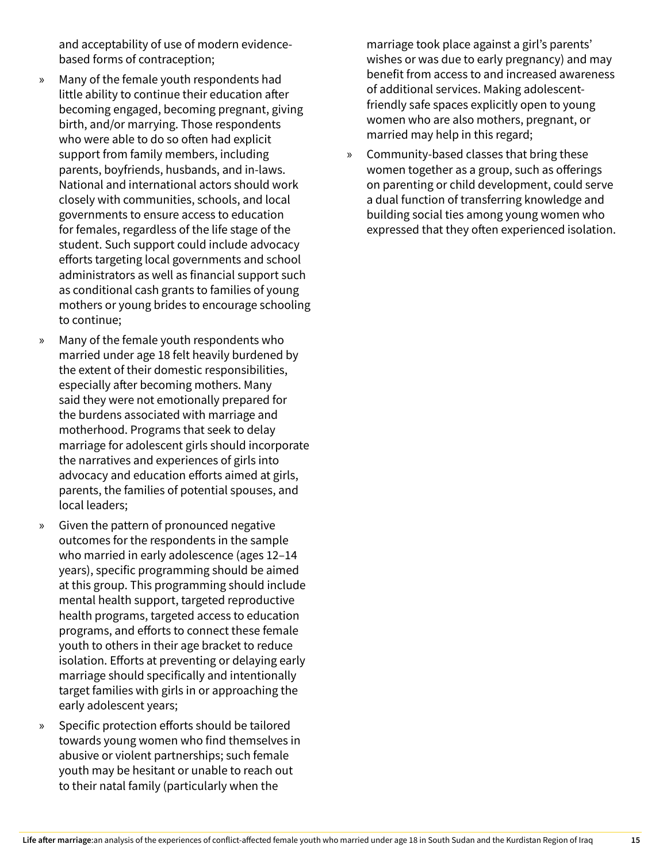and acceptability of use of modern evidencebased forms of contraception;

- » Many of the female youth respondents had little ability to continue their education after becoming engaged, becoming pregnant, giving birth, and/or marrying. Those respondents who were able to do so often had explicit support from family members, including parents, boyfriends, husbands, and in-laws. National and international actors should work closely with communities, schools, and local governments to ensure access to education for females, regardless of the life stage of the student. Such support could include advocacy efforts targeting local governments and school administrators as well as financial support such as conditional cash grants to families of young mothers or young brides to encourage schooling to continue;
- » Many of the female youth respondents who married under age 18 felt heavily burdened by the extent of their domestic responsibilities, especially after becoming mothers. Many said they were not emotionally prepared for the burdens associated with marriage and motherhood. Programs that seek to delay marriage for adolescent girls should incorporate the narratives and experiences of girls into advocacy and education efforts aimed at girls, parents, the families of potential spouses, and local leaders;
- » Given the pattern of pronounced negative outcomes for the respondents in the sample who married in early adolescence (ages 12–14 years), specific programming should be aimed at this group. This programming should include mental health support, targeted reproductive health programs, targeted access to education programs, and efforts to connect these female youth to others in their age bracket to reduce isolation. Efforts at preventing or delaying early marriage should specifically and intentionally target families with girls in or approaching the early adolescent years;
- » Specific protection efforts should be tailored towards young women who find themselves in abusive or violent partnerships; such female youth may be hesitant or unable to reach out to their natal family (particularly when the

marriage took place against a girl's parents' wishes or was due to early pregnancy) and may benefit from access to and increased awareness of additional services. Making adolescentfriendly safe spaces explicitly open to young women who are also mothers, pregnant, or married may help in this regard;

» Community-based classes that bring these women together as a group, such as offerings on parenting or child development, could serve a dual function of transferring knowledge and building social ties among young women who expressed that they often experienced isolation.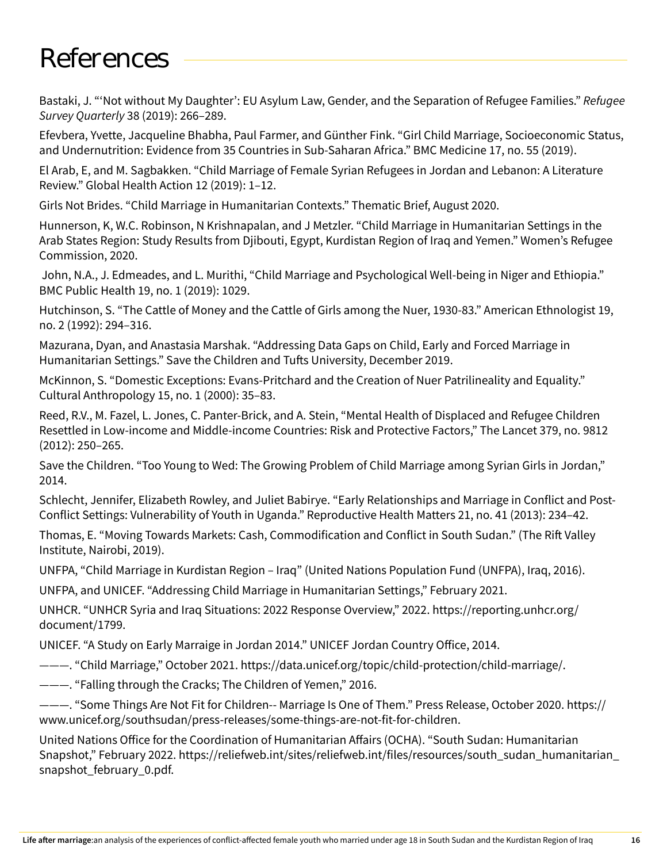### References

Bastaki, J. "'Not without My Daughter': EU Asylum Law, Gender, and the Separation of Refugee Families." *Refugee Survey Quarterly* 38 (2019): 266–289.

Efevbera, Yvette, Jacqueline Bhabha, Paul Farmer, and Günther Fink. "Girl Child Marriage, Socioeconomic Status, and Undernutrition: Evidence from 35 Countries in Sub-Saharan Africa." BMC Medicine 17, no. 55 (2019).

El Arab, E, and M. Sagbakken. "Child Marriage of Female Syrian Refugees in Jordan and Lebanon: A Literature Review." Global Health Action 12 (2019): 1–12.

Girls Not Brides. "Child Marriage in Humanitarian Contexts." Thematic Brief, August 2020.

Hunnerson, K, W.C. Robinson, N Krishnapalan, and J Metzler. "Child Marriage in Humanitarian Settings in the Arab States Region: Study Results from Djibouti, Egypt, Kurdistan Region of Iraq and Yemen." Women's Refugee Commission, 2020.

 John, N.A., J. Edmeades, and L. Murithi, "Child Marriage and Psychological Well-being in Niger and Ethiopia." BMC Public Health 19, no. 1 (2019): 1029.

Hutchinson, S. "The Cattle of Money and the Cattle of Girls among the Nuer, 1930-83." American Ethnologist 19, no. 2 (1992): 294–316.

Mazurana, Dyan, and Anastasia Marshak. "Addressing Data Gaps on Child, Early and Forced Marriage in Humanitarian Settings." Save the Children and Tufts University, December 2019.

McKinnon, S. "Domestic Exceptions: Evans-Pritchard and the Creation of Nuer Patrilineality and Equality." Cultural Anthropology 15, no. 1 (2000): 35–83.

Reed, R.V., M. Fazel, L. Jones, C. Panter-Brick, and A. Stein, "Mental Health of Displaced and Refugee Children Resettled in Low-income and Middle-income Countries: Risk and Protective Factors," The Lancet 379, no. 9812 (2012): 250–265.

Save the Children. "Too Young to Wed: The Growing Problem of Child Marriage among Syrian Girls in Jordan," 2014.

Schlecht, Jennifer, Elizabeth Rowley, and Juliet Babirye. "Early Relationships and Marriage in Conflict and Post-Conflict Settings: Vulnerability of Youth in Uganda." Reproductive Health Matters 21, no. 41 (2013): 234–42.

Thomas, E. "Moving Towards Markets: Cash, Commodification and Conflict in South Sudan." (The Rift Valley Institute, Nairobi, 2019).

UNFPA, "Child Marriage in Kurdistan Region – Iraq" (United Nations Population Fund (UNFPA), Iraq, 2016).

UNFPA, and UNICEF. "Addressing Child Marriage in Humanitarian Settings," February 2021.

UNHCR. "UNHCR Syria and Iraq Situations: 2022 Response Overview," 2022. https://reporting.unhcr.org/ document/1799.

UNICEF. "A Study on Early Marraige in Jordan 2014." UNICEF Jordan Country Office, 2014.

———. "Child Marriage," October 2021. https://data.unicef.org/topic/child-protection/child-marriage/.

———. "Falling through the Cracks; The Children of Yemen," 2016.

———. "Some Things Are Not Fit for Children-- Marriage Is One of Them." Press Release, October 2020. https:// www.unicef.org/southsudan/press-releases/some-things-are-not-fit-for-children.

United Nations Office for the Coordination of Humanitarian Affairs (OCHA). "South Sudan: Humanitarian Snapshot," February 2022. https://reliefweb.int/sites/reliefweb.int/files/resources/south\_sudan\_humanitarian\_ snapshot february 0.pdf.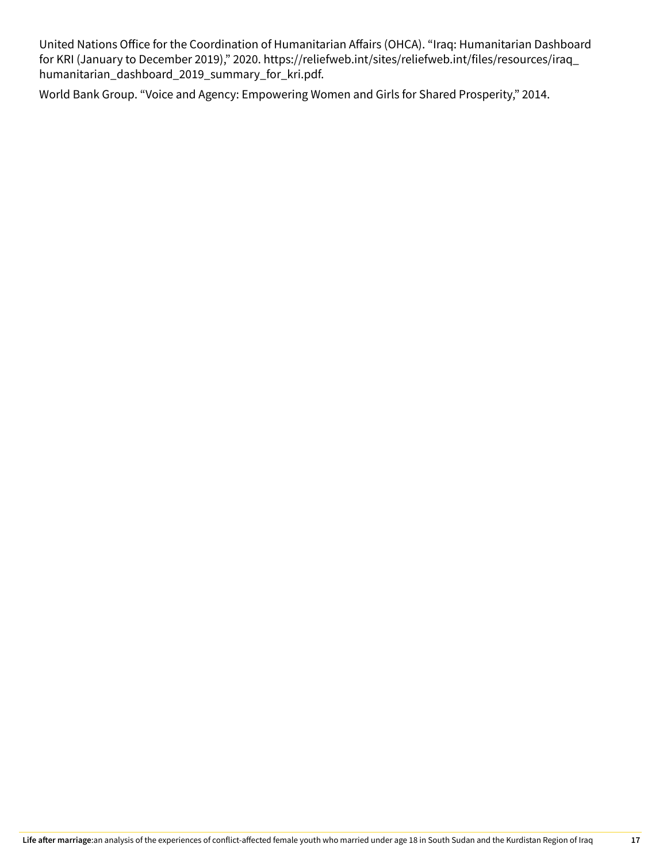United Nations Office for the Coordination of Humanitarian Affairs (OHCA). "Iraq: Humanitarian Dashboard for KRI (January to December 2019)," 2020. https://reliefweb.int/sites/reliefweb.int/files/resources/iraq\_ humanitarian\_dashboard\_2019\_summary\_for\_kri.pdf.

World Bank Group. "Voice and Agency: Empowering Women and Girls for Shared Prosperity," 2014.